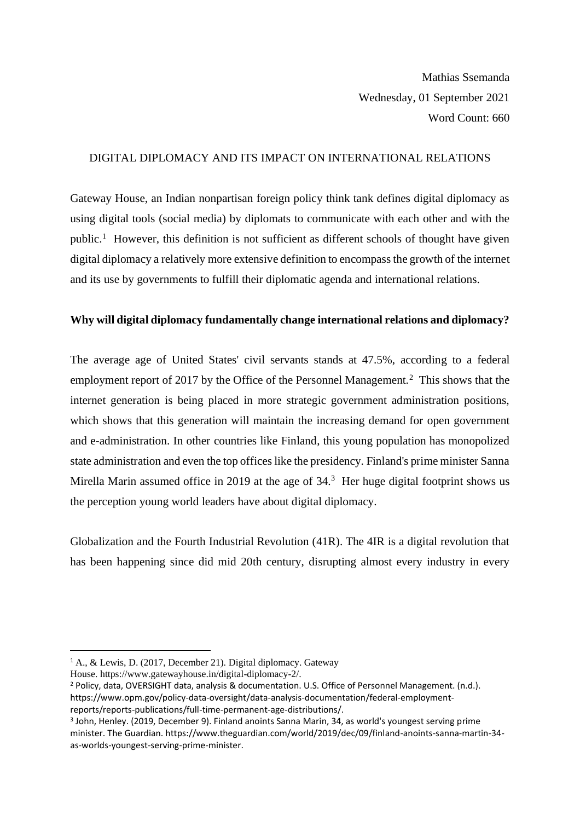Mathias Ssemanda Wednesday, 01 September 2021 Word Count: 660

## DIGITAL DIPLOMACY AND ITS IMPACT ON INTERNATIONAL RELATIONS

Gateway House, an Indian nonpartisan foreign policy think tank defines digital diplomacy as using digital tools (social media) by diplomats to communicate with each other and with the public.<sup>1</sup> However, this definition is not sufficient as different schools of thought have given digital diplomacy a relatively more extensive definition to encompass the growth of the internet and its use by governments to fulfill their diplomatic agenda and international relations.

## **Why will digital diplomacy fundamentally change international relations and diplomacy?**

The average age of United States' civil servants stands at 47.5%, according to a federal employment report of 2017 by the Office of the Personnel Management.<sup>2</sup> This shows that the internet generation is being placed in more strategic government administration positions, which shows that this generation will maintain the increasing demand for open government and e-administration. In other countries like Finland, this young population has monopolized state administration and even the top offices like the presidency. Finland's prime minister Sanna Mirella Marin assumed office in 2019 at the age of  $34<sup>3</sup>$  Her huge digital footprint shows us the perception young world leaders have about digital diplomacy.

Globalization and the Fourth Industrial Revolution (41R). The 4IR is a digital revolution that has been happening since did mid 20th century, disrupting almost every industry in every

<sup>1</sup> A., & Lewis, D. (2017, December 21). Digital diplomacy. Gateway

House. [https://www.gatewayhouse.in/digital-diplomacy-2/.](https://www.gatewayhouse.in/digital-diplomacy-2/)

<sup>2</sup> Policy, data, OVERSIGHT data, analysis & documentation. U.S. Office of Personnel Management. (n.d.). https://www.opm.gov/policy-data-oversight/data-analysis-documentation/federal-employmentreports/reports-publications/full-time-permanent-age-distributions/.

<sup>3</sup> John, Henley. (2019, December 9). Finland anoints Sanna Marin, 34, as world's youngest serving prime minister. The Guardian. https://www.theguardian.com/world/2019/dec/09/finland-anoints-sanna-martin-34 as-worlds-youngest-serving-prime-minister.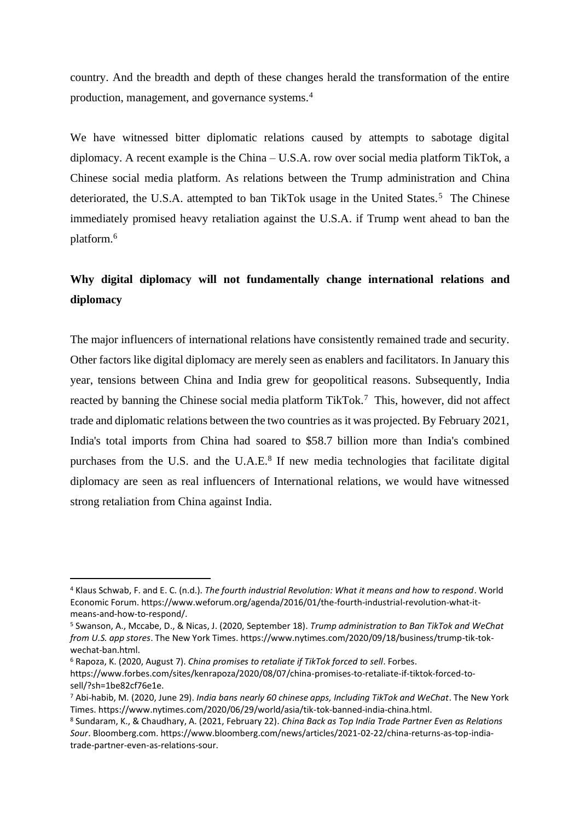country. And the breadth and depth of these changes herald the transformation of the entire production, management, and governance systems.<sup>4</sup>

We have witnessed bitter diplomatic relations caused by attempts to sabotage digital diplomacy. A recent example is the China – U.S.A. row over social media platform TikTok, a Chinese social media platform. As relations between the Trump administration and China deteriorated, the U.S.A. attempted to ban TikTok usage in the United States.<sup>5</sup> The Chinese immediately promised heavy retaliation against the U.S.A. if Trump went ahead to ban the platform.<sup>6</sup>

## **Why digital diplomacy will not fundamentally change international relations and diplomacy**

The major influencers of international relations have consistently remained trade and security. Other factors like digital diplomacy are merely seen as enablers and facilitators. In January this year, tensions between China and India grew for geopolitical reasons. Subsequently, India reacted by banning the Chinese social media platform TikTok.<sup>7</sup> This, however, did not affect trade and diplomatic relations between the two countries as it was projected. By February 2021, India's total imports from China had soared to \$58.7 billion more than India's combined purchases from the U.S. and the U.A.E.<sup>8</sup> If new media technologies that facilitate digital diplomacy are seen as real influencers of International relations, we would have witnessed strong retaliation from China against India.

<sup>4</sup> Klaus Schwab, F. and E. C. (n.d.). *The fourth industrial Revolution: What it means and how to respond*. World Economic Forum. https://www.weforum.org/agenda/2016/01/the-fourth-industrial-revolution-what-itmeans-and-how-to-respond/.

<sup>5</sup> Swanson, A., Mccabe, D., & Nicas, J. (2020, September 18). *Trump administration to Ban TikTok and WeChat from U.S. app stores*. The New York Times. https://www.nytimes.com/2020/09/18/business/trump-tik-tokwechat-ban.html.

<sup>6</sup> Rapoza, K. (2020, August 7). *China promises to retaliate if TikTok forced to sell*. Forbes.

https://www.forbes.com/sites/kenrapoza/2020/08/07/china-promises-to-retaliate-if-tiktok-forced-tosell/?sh=1be82cf76e1e.

<sup>7</sup> Abi-habib, M. (2020, June 29). *India bans nearly 60 chinese apps, Including TikTok and WeChat*. The New York Times. https://www.nytimes.com/2020/06/29/world/asia/tik-tok-banned-india-china.html.

<sup>8</sup> Sundaram, K., & Chaudhary, A. (2021, February 22). *China Back as Top India Trade Partner Even as Relations Sour*. Bloomberg.com. https://www.bloomberg.com/news/articles/2021-02-22/china-returns-as-top-indiatrade-partner-even-as-relations-sour.